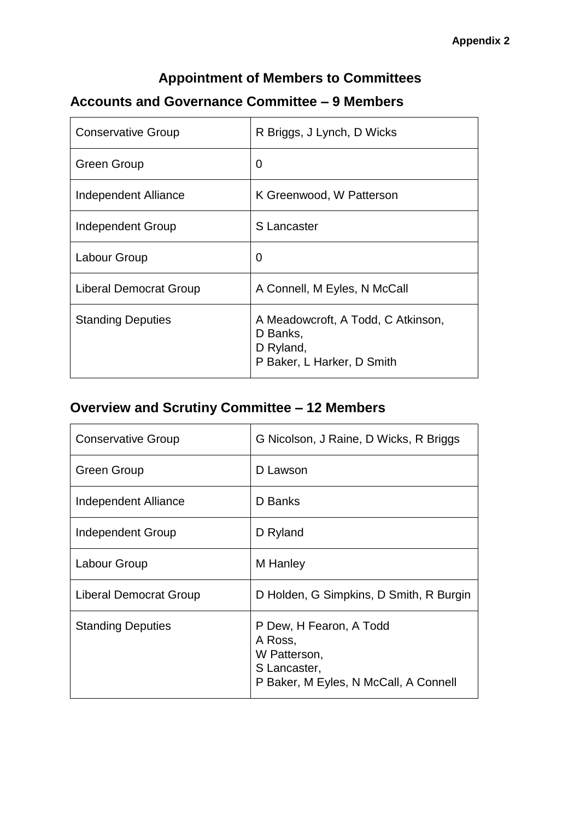#### **Appointment of Members to Committees**

#### **Accounts and Governance Committee – 9 Members**

| <b>Conservative Group</b> | R Briggs, J Lynch, D Wicks                                                                |
|---------------------------|-------------------------------------------------------------------------------------------|
| <b>Green Group</b>        | 0                                                                                         |
| Independent Alliance      | K Greenwood, W Patterson                                                                  |
| Independent Group         | S Lancaster                                                                               |
| Labour Group              | 0                                                                                         |
| Liberal Democrat Group    | A Connell, M Eyles, N McCall                                                              |
| <b>Standing Deputies</b>  | A Meadowcroft, A Todd, C Atkinson,<br>D Banks,<br>D Ryland,<br>P Baker, L Harker, D Smith |

### **Overview and Scrutiny Committee – 12 Members**

| <b>Conservative Group</b> | G Nicolson, J Raine, D Wicks, R Briggs                                                                      |
|---------------------------|-------------------------------------------------------------------------------------------------------------|
| Green Group               | D Lawson                                                                                                    |
| Independent Alliance      | D Banks                                                                                                     |
| Independent Group         | D Ryland                                                                                                    |
| Labour Group              | M Hanley                                                                                                    |
| Liberal Democrat Group    | D Holden, G Simpkins, D Smith, R Burgin                                                                     |
| <b>Standing Deputies</b>  | P Dew, H Fearon, A Todd<br>A Ross,<br>W Patterson,<br>S Lancaster,<br>P Baker, M Eyles, N McCall, A Connell |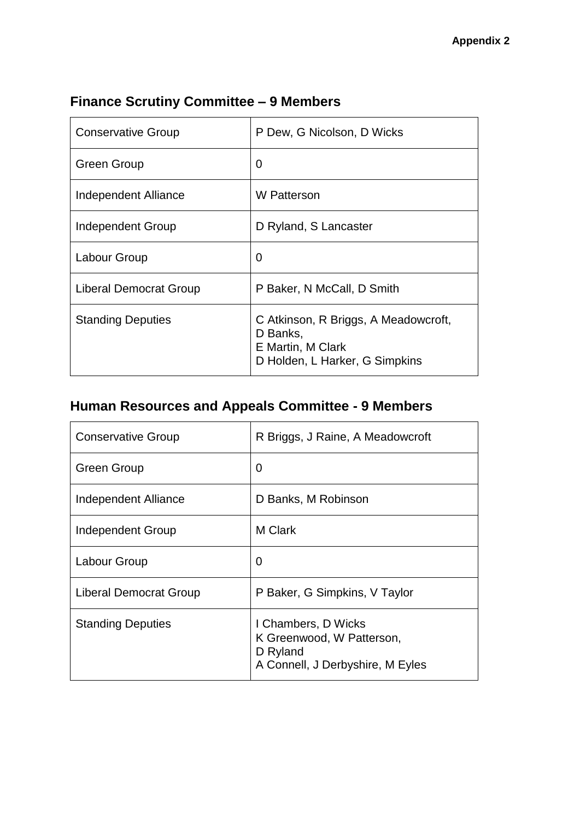| <b>Conservative Group</b> | P Dew, G Nicolson, D Wicks                                                                              |
|---------------------------|---------------------------------------------------------------------------------------------------------|
| <b>Green Group</b>        | 0                                                                                                       |
| Independent Alliance      | W Patterson                                                                                             |
| Independent Group         | D Ryland, S Lancaster                                                                                   |
| Labour Group              | 0                                                                                                       |
| Liberal Democrat Group    | P Baker, N McCall, D Smith                                                                              |
| <b>Standing Deputies</b>  | C Atkinson, R Briggs, A Meadowcroft,<br>D Banks,<br>E Martin, M Clark<br>D Holden, L Harker, G Simpkins |

## **Finance Scrutiny Committee – 9 Members**

# **Human Resources and Appeals Committee - 9 Members**

| <b>Conservative Group</b>     | R Briggs, J Raine, A Meadowcroft                                                                 |
|-------------------------------|--------------------------------------------------------------------------------------------------|
| <b>Green Group</b>            | 0                                                                                                |
| Independent Alliance          | D Banks, M Robinson                                                                              |
| Independent Group             | M Clark                                                                                          |
| Labour Group                  | 0                                                                                                |
| <b>Liberal Democrat Group</b> | P Baker, G Simpkins, V Taylor                                                                    |
| <b>Standing Deputies</b>      | I Chambers, D Wicks<br>K Greenwood, W Patterson,<br>D Ryland<br>A Connell, J Derbyshire, M Eyles |